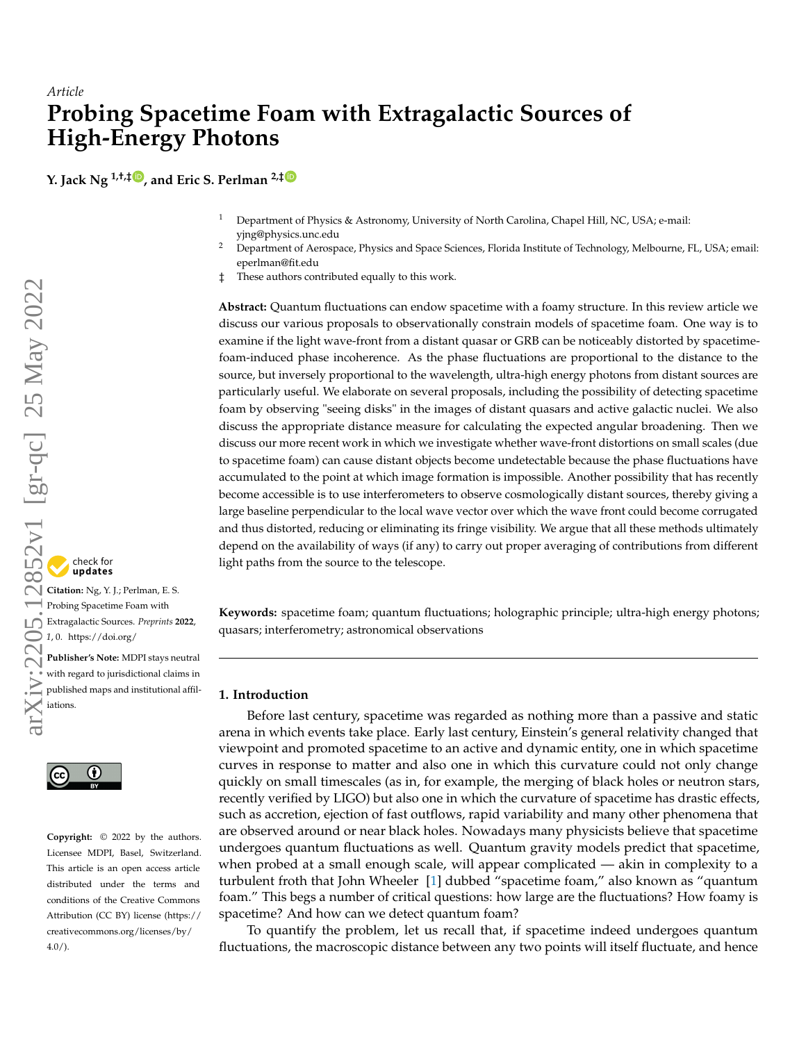# *Article* **Probing Spacetime Foam with Extragalactic Sources of High-Energy Photons**

**Y. Jack Ng 1,†,‡ [,](https://orcid.org/0000-0000-0000-000X) and Eric S. Perlman 2,[‡](https://orcid.org/0000-0002-3099-1664)**

- <sup>1</sup> Department of Physics & Astronomy, University of North Carolina, Chapel Hill, NC, USA; e-mail: yjng@physics.unc.edu
- <sup>2</sup> Department of Aerospace, Physics and Space Sciences, Florida Institute of Technology, Melbourne, FL, USA; email: eperlman@fit.edu
- ‡ These authors contributed equally to this work.

**Abstract:** Quantum fluctuations can endow spacetime with a foamy structure. In this review article we discuss our various proposals to observationally constrain models of spacetime foam. One way is to examine if the light wave-front from a distant quasar or GRB can be noticeably distorted by spacetimefoam-induced phase incoherence. As the phase fluctuations are proportional to the distance to the source, but inversely proportional to the wavelength, ultra-high energy photons from distant sources are particularly useful. We elaborate on several proposals, including the possibility of detecting spacetime foam by observing "seeing disks" in the images of distant quasars and active galactic nuclei. We also discuss the appropriate distance measure for calculating the expected angular broadening. Then we discuss our more recent work in which we investigate whether wave-front distortions on small scales (due to spacetime foam) can cause distant objects become undetectable because the phase fluctuations have accumulated to the point at which image formation is impossible. Another possibility that has recently become accessible is to use interferometers to observe cosmologically distant sources, thereby giving a large baseline perpendicular to the local wave vector over which the wave front could become corrugated and thus distorted, reducing or eliminating its fringe visibility. We argue that all these methods ultimately depend on the availability of ways (if any) to carry out proper averaging of contributions from different light paths from the source to the telescope.

**Keywords:** spacetime foam; quantum fluctuations; holographic principle; ultra-high energy photons; quasars; interferometry; astronomical observations

# **1. Introduction**

Before last century, spacetime was regarded as nothing more than a passive and static arena in which events take place. Early last century, Einstein's general relativity changed that viewpoint and promoted spacetime to an active and dynamic entity, one in which spacetime curves in response to matter and also one in which this curvature could not only change quickly on small timescales (as in, for example, the merging of black holes or neutron stars, recently verified by LIGO) but also one in which the curvature of spacetime has drastic effects, such as accretion, ejection of fast outflows, rapid variability and many other phenomena that are observed around or near black holes. Nowadays many physicists believe that spacetime undergoes quantum fluctuations as well. Quantum gravity models predict that spacetime, when probed at a small enough scale, will appear complicated — akin in complexity to a turbulent froth that John Wheeler [\[1\]](#page-9-0) dubbed "spacetime foam," also known as "quantum foam." This begs a number of critical questions: how large are the fluctuations? How foamy is spacetime? And how can we detect quantum foam?

To quantify the problem, let us recall that, if spacetime indeed undergoes quantum fluctuations, the macroscopic distance between any two points will itself fluctuate, and hence

# check for<br>**undates**

**Citation:** Ng, Y. J.; Perlman, E. S. Probing Spacetime Foam with Extragalactic Sources. *Preprints* **2022**, *1*, 0. [https://doi.org/](https://doi.org/10.3390/1010000)

**Publisher's Note:** MDPI stays neutral with regard to jurisdictional claims in published maps and institutional affiliations.



**Copyright:** © 2022 by the authors. Licensee MDPI, Basel, Switzerland. This article is an open access article distributed under the terms and conditions of the Creative Commons Attribution (CC BY) license [\(https://](https://creativecommons.org/licenses/by/4.0/) [creativecommons.org/licenses/by/](https://creativecommons.org/licenses/by/4.0/) 4.0/).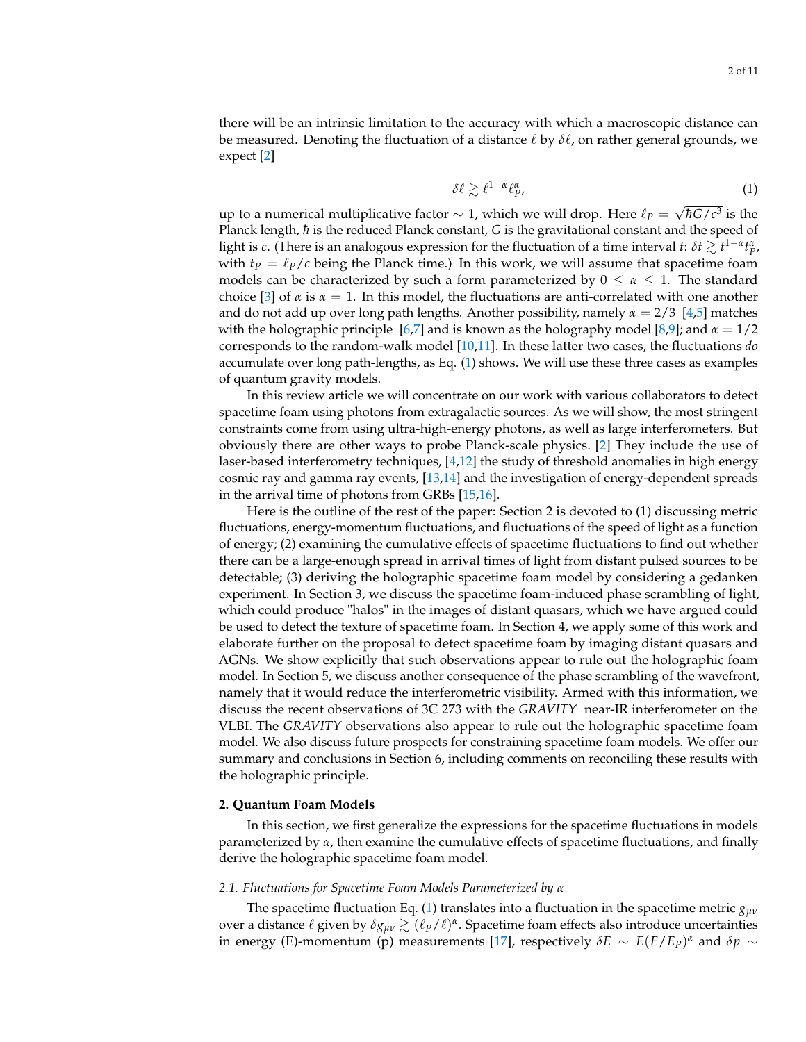there will be an intrinsic limitation to the accuracy with which a macroscopic distance can be measured. Denoting the fluctuation of a distance  $\ell$  by  $\delta\ell$ , on rather general grounds, we expect [\[2\]](#page-9-1)

<span id="page-1-0"></span>
$$
\delta\ell \gtrsim \ell^{1-\alpha}\ell_P^{\alpha},\tag{1}
$$

up to a numerical multiplicative factor  $\sim$  1, which we will drop. Here  $\ell_P =$ √  $\hbar G/c^3$  is the Planck length,  $\hbar$  is the reduced Planck constant, *G* is the gravitational constant and the speed of light is *c*. (There is an analogous expression for the fluctuation of a time interval *t*:  $\delta t \gtrsim t^{1-\alpha} t_p^{\alpha}$ , with  $t_P = \ell_P/c$  being the Planck time.) In this work, we will assume that spacetime foam models can be characterized by such a form parameterized by  $0 \le \alpha \le 1$ . The standard choice [\[3\]](#page-9-2) of  $\alpha$  is  $\alpha = 1$ . In this model, the fluctuations are anti-correlated with one another and do not add up over long path lengths. Another possibility, namely *α* = 2/3 [\[4](#page-9-3)[,5\]](#page-9-4) matches with the holographic principle [\[6,](#page-9-5)[7\]](#page-9-6) and is known as the holography model [\[8,](#page-9-7)[9\]](#page-9-8); and *α* = 1/2 corresponds to the random-walk model [\[10](#page-9-9)[,11\]](#page-9-10). In these latter two cases, the fluctuations *do* accumulate over long path-lengths, as Eq. [\(1\)](#page-1-0) shows. We will use these three cases as examples of quantum gravity models.

In this review article we will concentrate on our work with various collaborators to detect spacetime foam using photons from extragalactic sources. As we will show, the most stringent constraints come from using ultra-high-energy photons, as well as large interferometers. But obviously there are other ways to probe Planck-scale physics. [\[2\]](#page-9-1) They include the use of laser-based interferometry techniques, [\[4,](#page-9-3)[12\]](#page-9-11) the study of threshold anomalies in high energy cosmic ray and gamma ray events, [\[13,](#page-9-12)[14\]](#page-9-13) and the investigation of energy-dependent spreads in the arrival time of photons from GRBs [\[15,](#page-9-14)[16\]](#page-9-15).

Here is the outline of the rest of the paper: Section 2 is devoted to (1) discussing metric fluctuations, energy-momentum fluctuations, and fluctuations of the speed of light as a function of energy; (2) examining the cumulative effects of spacetime fluctuations to find out whether there can be a large-enough spread in arrival times of light from distant pulsed sources to be detectable; (3) deriving the holographic spacetime foam model by considering a gedanken experiment. In Section 3, we discuss the spacetime foam-induced phase scrambling of light, which could produce "halos" in the images of distant quasars, which we have argued could be used to detect the texture of spacetime foam. In Section 4, we apply some of this work and elaborate further on the proposal to detect spacetime foam by imaging distant quasars and AGNs. We show explicitly that such observations appear to rule out the holographic foam model. In Section 5, we discuss another consequence of the phase scrambling of the wavefront, namely that it would reduce the interferometric visibility. Armed with this information, we discuss the recent observations of 3C 273 with the *GRAVITY* near-IR interferometer on the VLBI. The *GRAVITY* observations also appear to rule out the holographic spacetime foam model. We also discuss future prospects for constraining spacetime foam models. We offer our summary and conclusions in Section 6, including comments on reconciling these results with the holographic principle.

#### **2. Quantum Foam Models**

In this section, we first generalize the expressions for the spacetime fluctuations in models parameterized by *α*, then examine the cumulative effects of spacetime fluctuations, and finally derive the holographic spacetime foam model.

#### *2.1. Fluctuations for Spacetime Foam Models Parameterized by α*

The spacetime fluctuation Eq. [\(1\)](#page-1-0) translates into a fluctuation in the spacetime metric *gµν* over a distance *ℓ* given by  $\delta g_{\mu\nu}$   $\gtrsim$  ( $\ell_P/\ell$ )<sup>α</sup>. Spacetime foam effects also introduce uncertainties in energy (E)-momentum (p) measurements [\[17\]](#page-9-16), respectively  $\delta E \sim E(E/E_P)^{\alpha}$  and  $\delta p \sim$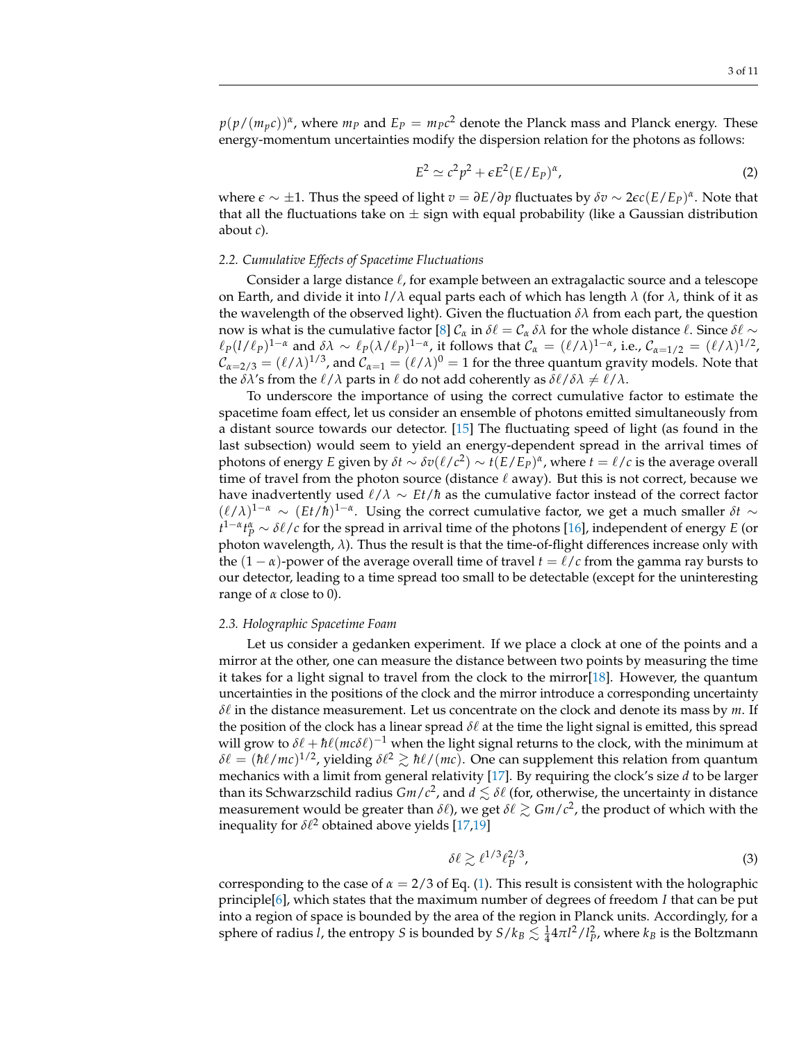$p(p/(m_p c))^{\alpha}$ , where  $m_p$  and  $E_p = m_p c^2$  denote the Planck mass and Planck energy. These energy-momentum uncertainties modify the dispersion relation for the photons as follows:

$$
E^2 \simeq c^2 p^2 + \epsilon E^2 (E/E_P)^{\alpha}, \tag{2}
$$

where *e* ∼ ±1. Thus the speed of light *v* = *∂E*/*∂p* fluctuates by *δv* ∼ 2*ec*(*E*/*EP*) *α* . Note that that all the fluctuations take on  $\pm$  sign with equal probability (like a Gaussian distribution about *c*).

# *2.2. Cumulative Effects of Spacetime Fluctuations*

Consider a large distance  $\ell$ , for example between an extragalactic source and a telescope on Earth, and divide it into *l*/*λ* equal parts each of which has length *λ* (for *λ*, think of it as the wavelength of the observed light). Given the fluctuation  $\delta \lambda$  from each part, the question now is what is the cumulative factor [\[8\]](#page-9-7)  $C_\alpha$  in  $\delta\ell = C_\alpha \delta\lambda$  for the whole distance  $\ell$ . Since  $\delta\ell \sim$  $\ell_P(l/\ell_P)^{1-\alpha}$  and  $\delta\lambda \sim \ell_P(\lambda/\ell_P)^{1-\alpha}$ , it follows that  $\mathcal{C}_\alpha = (\ell/\lambda)^{1-\alpha}$ , i.e.,  $\mathcal{C}_{\alpha=1/2} = (\ell/\lambda)^{1/2}$ ,  $\mathcal{C}_{\alpha=2/3}=(\ell/\lambda)^{1/3}$ , and  $\mathcal{C}_{\alpha=1}=(\ell/\lambda)^0=1$  for the three quantum gravity models. Note that the  $\delta \lambda$ 's from the  $\ell/\lambda$  parts in  $\ell$  do not add coherently as  $\delta \ell/\delta \lambda \neq \ell/\lambda$ .

To underscore the importance of using the correct cumulative factor to estimate the spacetime foam effect, let us consider an ensemble of photons emitted simultaneously from a distant source towards our detector. [\[15\]](#page-9-14) The fluctuating speed of light (as found in the last subsection) would seem to yield an energy-dependent spread in the arrival times of photons of energy *E* given by  $\delta t \sim \delta v(\ell/c^2) \sim t(E/E_P)^{\alpha}$ , where  $t = \ell/c$  is the average overall time of travel from the photon source (distance  $\ell$  away). But this is not correct, because we have inadvertently used  $\ell/\lambda \sim Et/\hbar$  as the cumulative factor instead of the correct factor  $(\ell/\lambda)^{1-\alpha}$  ~  $(Et/\hbar)^{1-\alpha}$ . Using the correct cumulative factor, we get a much smaller  $\delta t$  ~  $t^{1-\alpha}t_P^{\alpha} \sim \delta\ell/c$  for the spread in arrival time of the photons [\[16\]](#page-9-15), independent of energy *E* (or photon wavelength, *λ*). Thus the result is that the time-of-flight differences increase only with the  $(1 - \alpha)$ -power of the average overall time of travel  $t = \ell/c$  from the gamma ray bursts to our detector, leading to a time spread too small to be detectable (except for the uninteresting range of *α* close to 0).

#### *2.3. Holographic Spacetime Foam*

Let us consider a gedanken experiment. If we place a clock at one of the points and a mirror at the other, one can measure the distance between two points by measuring the time it takes for a light signal to travel from the clock to the mirror[\[18\]](#page-9-17). However, the quantum uncertainties in the positions of the clock and the mirror introduce a corresponding uncertainty *δ*` in the distance measurement. Let us concentrate on the clock and denote its mass by *m*. If the position of the clock has a linear spread  $\delta\ell$  at the time the light signal is emitted, this spread will grow to  $\delta\ell + \hbar\ell(mc\delta\ell)^{-1}$  when the light signal returns to the clock, with the minimum at  $\delta\ell = (\hbar\ell/mc)^{1/2}$ , yielding  $\delta\ell^2 \gtrsim \hbar\ell/(mc)$ . One can supplement this relation from quantum mechanics with a limit from general relativity [\[17\]](#page-9-16). By requiring the clock's size *d* to be larger than its Schwarzschild radius  $Gm/c^2$ , and  $d \lesssim \delta\ell$  (for, otherwise, the uncertainty in distance measurement would be greater than  $\delta\ell$ ), we get  $\delta\ell \gtrsim Gm/c^2$ , the product of which with the inequality for  $\delta\ell^2$  obtained above yields  $[17,19]$  $[17,19]$ 

$$
\delta\ell \gtrsim \ell^{1/3} \ell_P^{2/3},\tag{3}
$$

corresponding to the case of  $\alpha = 2/3$  of Eq. [\(1\)](#page-1-0). This result is consistent with the holographic principle[\[6\]](#page-9-5), which states that the maximum number of degrees of freedom *I* that can be put into a region of space is bounded by the area of the region in Planck units. Accordingly, for a sphere of radius  $\hat{l}$ , the entropy *S* is bounded by  $S/k_B \lesssim \frac{1}{4} 4 \pi l^2 / l_P^2$ , where  $k_B$  is the Boltzmann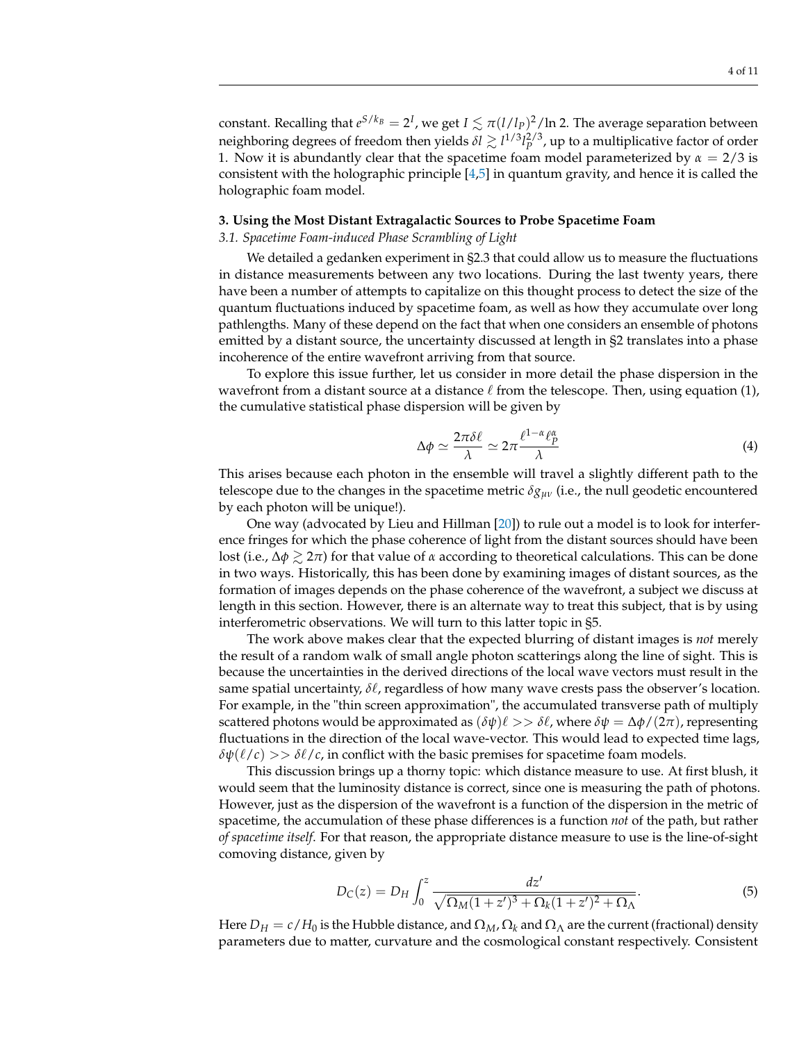constant. Recalling that  $e^{S/k_B} = 2^I$ , we get  $I \lesssim \pi (l/l_P)^2/\ln 2$ . The average separation between neighboring degrees of freedom then yields  $\delta l \gtrsim l^{1/3} l_{p}^{2/3}$ , up to a multiplicative factor of order 1. Now it is abundantly clear that the spacetime foam model parameterized by  $\alpha = 2/3$  is consistent with the holographic principle [\[4](#page-9-3)[,5\]](#page-9-4) in quantum gravity, and hence it is called the holographic foam model.

#### **3. Using the Most Distant Extragalactic Sources to Probe Spacetime Foam**

## *3.1. Spacetime Foam-induced Phase Scrambling of Light*

We detailed a gedanken experiment in §2.3 that could allow us to measure the fluctuations in distance measurements between any two locations. During the last twenty years, there have been a number of attempts to capitalize on this thought process to detect the size of the quantum fluctuations induced by spacetime foam, as well as how they accumulate over long pathlengths. Many of these depend on the fact that when one considers an ensemble of photons emitted by a distant source, the uncertainty discussed at length in §2 translates into a phase incoherence of the entire wavefront arriving from that source.

To explore this issue further, let us consider in more detail the phase dispersion in the wavefront from a distant source at a distance  $\ell$  from the telescope. Then, using equation (1), the cumulative statistical phase dispersion will be given by

<span id="page-3-0"></span>
$$
\Delta \phi \simeq \frac{2\pi \delta \ell}{\lambda} \simeq 2\pi \frac{\ell^{1-\alpha} \ell_P^{\alpha}}{\lambda} \tag{4}
$$

This arises because each photon in the ensemble will travel a slightly different path to the telescope due to the changes in the spacetime metric *δgµν* (i.e., the null geodetic encountered by each photon will be unique!).

One way (advocated by Lieu and Hillman [\[20\]](#page-9-19)) to rule out a model is to look for interference fringes for which the phase coherence of light from the distant sources should have been lost (i.e., ∆*φ* & 2*π*) for that value of *α* according to theoretical calculations. This can be done in two ways. Historically, this has been done by examining images of distant sources, as the formation of images depends on the phase coherence of the wavefront, a subject we discuss at length in this section. However, there is an alternate way to treat this subject, that is by using interferometric observations. We will turn to this latter topic in §5.

The work above makes clear that the expected blurring of distant images is *not* merely the result of a random walk of small angle photon scatterings along the line of sight. This is because the uncertainties in the derived directions of the local wave vectors must result in the same spatial uncertainty,  $\delta\ell$ , regardless of how many wave crests pass the observer's location. For example, in the "thin screen approximation", the accumulated transverse path of multiply scattered photons would be approximated as  $(\delta \psi) \ell >> \delta \ell$ , where  $\delta \psi = \Delta \phi / (2\pi)$ , representing fluctuations in the direction of the local wave-vector. This would lead to expected time lags,  $\delta\psi(\ell/c) >> \delta\ell/c$ , in conflict with the basic premises for spacetime foam models.

This discussion brings up a thorny topic: which distance measure to use. At first blush, it would seem that the luminosity distance is correct, since one is measuring the path of photons. However, just as the dispersion of the wavefront is a function of the dispersion in the metric of spacetime, the accumulation of these phase differences is a function *not* of the path, but rather *of spacetime itself*. For that reason, the appropriate distance measure to use is the line-of-sight comoving distance, given by

$$
D_C(z) = D_H \int_0^z \frac{dz'}{\sqrt{\Omega_M (1+z')^3 + \Omega_k (1+z')^2 + \Omega_\Lambda}}.
$$
(5)

Here  $D_H = c/H_0$  is the Hubble distance, and  $\Omega_M$ ,  $\Omega_k$  and  $\Omega_\Lambda$  are the current (fractional) density parameters due to matter, curvature and the cosmological constant respectively. Consistent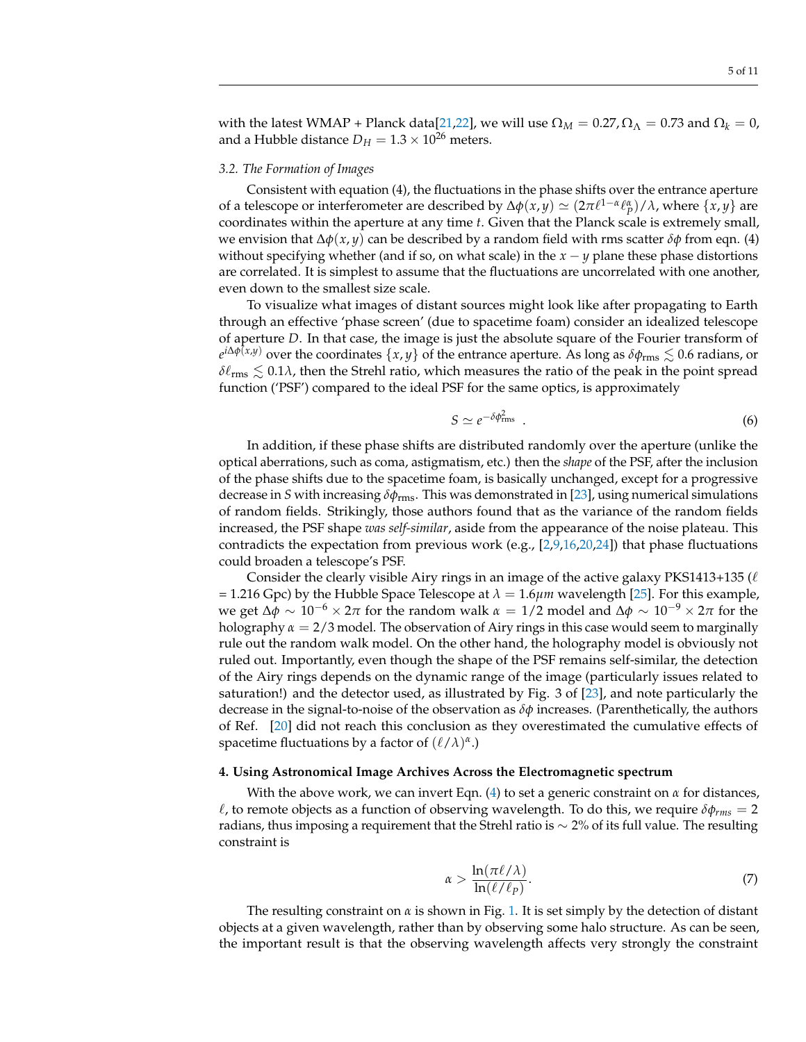with the latest WMAP + Planck data<sup>[\[21](#page-9-20)</sup>, 22], we will use  $\Omega_M = 0.27$ ,  $\Omega_{\Lambda} = 0.73$  and  $\Omega_k = 0$ , and a Hubble distance  $D_H = 1.3 \times 10^{26}$  meters.

#### *3.2. The Formation of Images*

Consistent with equation (4), the fluctuations in the phase shifts over the entrance aperture of a telescope or interferometer are described by  $\Delta \phi(x,y) \simeq (2\pi \ell^{1-\alpha} \ell_p^{\alpha})/\lambda$ , where  $\{x,y\}$  are coordinates within the aperture at any time *t*. Given that the Planck scale is extremely small, we envision that ∆*φ*(*x*, *y*) can be described by a random field with rms scatter *δφ* from eqn. (4) without specifying whether (and if so, on what scale) in the  $x - y$  plane these phase distortions are correlated. It is simplest to assume that the fluctuations are uncorrelated with one another, even down to the smallest size scale.

To visualize what images of distant sources might look like after propagating to Earth through an effective 'phase screen' (due to spacetime foam) consider an idealized telescope of aperture *D*. In that case, the image is just the absolute square of the Fourier transform of *e <sup>i</sup>*∆*φ*(*x*,*y*) over the coordinates {*x*, *y*} of the entrance aperture. As long as *δφ*rms . 0.6 radians, or  $\delta\ell_{\rm rms} \lesssim 0.1\lambda$ , then the Strehl ratio, which measures the ratio of the peak in the point spread function ('PSF') compared to the ideal PSF for the same optics, is approximately

$$
S \simeq e^{-\delta \phi_{\rm rms}^2} \tag{6}
$$

In addition, if these phase shifts are distributed randomly over the aperture (unlike the optical aberrations, such as coma, astigmatism, etc.) then the *shape* of the PSF, after the inclusion of the phase shifts due to the spacetime foam, is basically unchanged, except for a progressive decrease in *S* with increasing *δφ*rms. This was demonstrated in [\[23\]](#page-9-22), using numerical simulations of random fields. Strikingly, those authors found that as the variance of the random fields increased, the PSF shape *was self-similar*, aside from the appearance of the noise plateau. This contradicts the expectation from previous work (e.g.,  $[2,9,16,20,24]$  $[2,9,16,20,24]$  $[2,9,16,20,24]$  $[2,9,16,20,24]$  $[2,9,16,20,24]$ ) that phase fluctuations could broaden a telescope's PSF.

Consider the clearly visible Airy rings in an image of the active galaxy PKS1413+135 ( $\ell$ = 1.216 Gpc) by the Hubble Space Telescope at  $\lambda = 1.6 \mu m$  wavelength [\[25\]](#page-9-24). For this example, we get Δ $\phi \sim 10^{-6} \times 2\pi$  for the random walk  $\alpha = 1/2$  model and Δ $\phi \sim 10^{-9} \times 2\pi$  for the holography  $\alpha = 2/3$  model. The observation of Airy rings in this case would seem to marginally rule out the random walk model. On the other hand, the holography model is obviously not ruled out. Importantly, even though the shape of the PSF remains self-similar, the detection of the Airy rings depends on the dynamic range of the image (particularly issues related to saturation!) and the detector used, as illustrated by Fig. 3 of [\[23\]](#page-9-22), and note particularly the decrease in the signal-to-noise of the observation as *δφ* increases. (Parenthetically, the authors of Ref. [\[20\]](#page-9-19) did not reach this conclusion as they overestimated the cumulative effects of spacetime fluctuations by a factor of  $(\ell/\lambda)^{\alpha}$ .)

#### **4. Using Astronomical Image Archives Across the Electromagnetic spectrum**

With the above work, we can invert Eqn. [\(4\)](#page-3-0) to set a generic constraint on *α* for distances,  $\ell$ , to remote objects as a function of observing wavelength. To do this, we require  $\delta\phi_{rms} = 2$ radians, thus imposing a requirement that the Strehl ratio is  $\sim$  2% of its full value. The resulting constraint is

<span id="page-4-0"></span>
$$
\alpha > \frac{\ln(\pi \ell/\lambda)}{\ln(\ell/\ell_p)}.
$$
\n(7)

The resulting constraint on *α* is shown in Fig. [1.](#page-5-0) It is set simply by the detection of distant objects at a given wavelength, rather than by observing some halo structure. As can be seen, the important result is that the observing wavelength affects very strongly the constraint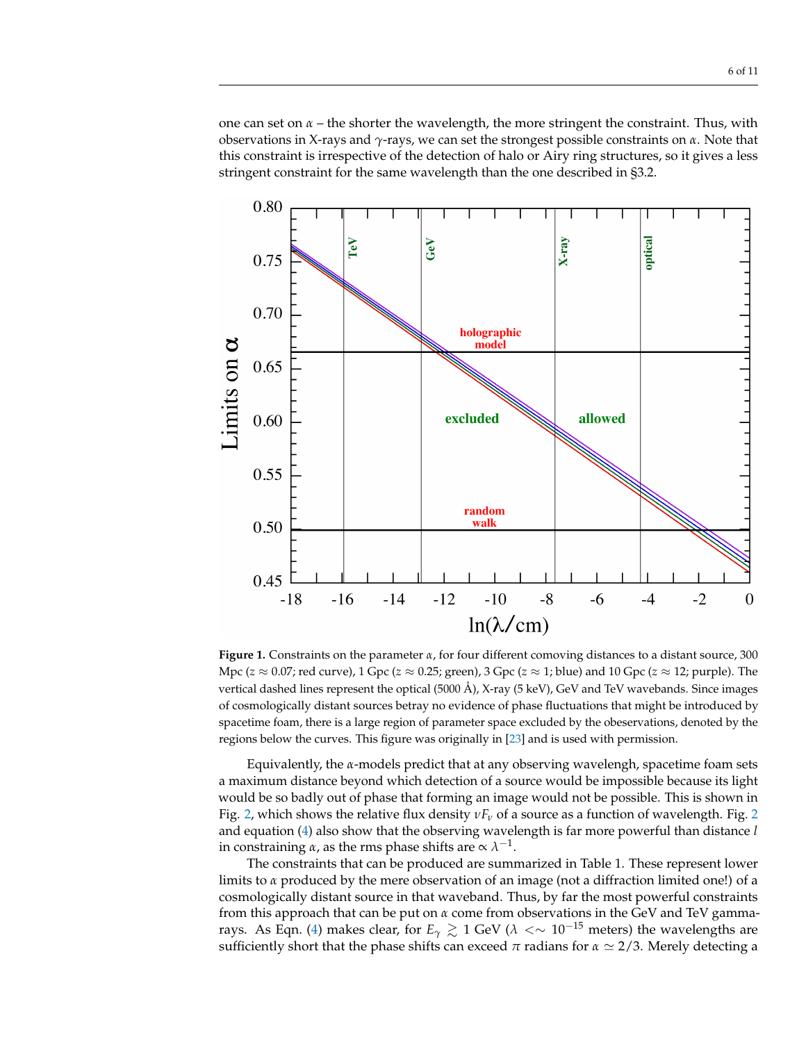one can set on *α* – the shorter the wavelength, the more stringent the constraint. Thus, with observations in X-rays and *γ*-rays, we can set the strongest possible constraints on *α*. Note that this constraint is irrespective of the detection of halo or Airy ring structures, so it gives a less stringent constraint for the same wavelength than the one described in §3.2.

<span id="page-5-0"></span>

**Figure 1.** Constraints on the parameter *α*, for four different comoving distances to a distant source, 300 Mpc (*z* ≈ 0.07; red curve), 1 Gpc (*z* ≈ 0.25; green), 3 Gpc (*z* ≈ 1; blue) and 10 Gpc (*z* ≈ 12; purple). The vertical dashed lines represent the optical (5000 Å), X-ray (5 keV), GeV and TeV wavebands. Since images of cosmologically distant sources betray no evidence of phase fluctuations that might be introduced by spacetime foam, there is a large region of parameter space excluded by the obeservations, denoted by the regions below the curves. This figure was originally in [\[23\]](#page-9-22) and is used with permission.

Equivalently, the *α*-models predict that at any observing wavelengh, spacetime foam sets a maximum distance beyond which detection of a source would be impossible because its light would be so badly out of phase that forming an image would not be possible. This is shown in Fig. [2,](#page-6-0) which shows the relative flux density *νF<sup>ν</sup>* of a source as a function of wavelength. Fig. [2](#page-6-0) and equation [\(4\)](#page-3-0) also show that the observing wavelength is far more powerful than distance *l* in constraining  $\alpha$ , as the rms phase shifts are  $\propto \lambda^{-1}$ .

The constraints that can be produced are summarized in Table 1. These represent lower limits to *α* produced by the mere observation of an image (not a diffraction limited one!) of a cosmologically distant source in that waveband. Thus, by far the most powerful constraints from this approach that can be put on *α* come from observations in the GeV and TeV gamma-rays. As Eqn. [\(4\)](#page-3-0) makes clear, for  $E_\gamma \gtrsim 1$  GeV ( $\lambda < \sim 10^{-15}$  meters) the wavelengths are sufficiently short that the phase shifts can exceed  $\pi$  radians for  $\alpha \simeq 2/3$ . Merely detecting a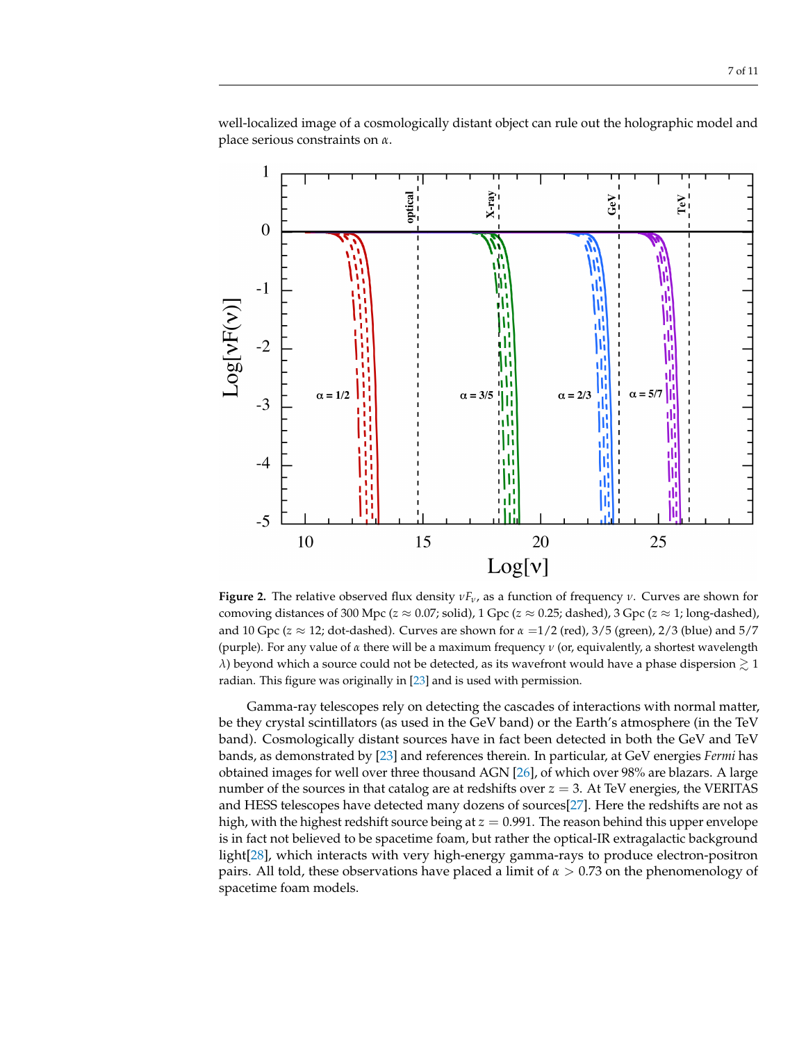<span id="page-6-0"></span> $\mathbf 1$  $X-ray$ optical  $GeV$  $\mathsf{TeV}$  $\overline{0}$  $-1$  $Log[VP(v)]$  $-2$  $\alpha = 5/7$  $\alpha = 1/2$  $\alpha = 2/3$  $\alpha = 3/5$  $-3$  $-4$  $-5$ 20 10 15 25  $Log[v]$ 

well-localized image of a cosmologically distant object can rule out the holographic model and place serious constraints on *α*.

**Figure 2.** The relative observed flux density *νFν*, as a function of frequency *ν*. Curves are shown for comoving distances of 300 Mpc ( $z \approx 0.07$ ; solid), 1 Gpc ( $z \approx 0.25$ ; dashed), 3 Gpc ( $z \approx 1$ ; long-dashed), and 10 Gpc (*z* ≈ 12; dot-dashed). Curves are shown for *α* =1/2 (red), 3/5 (green), 2/3 (blue) and 5/7 (purple). For any value of *α* there will be a maximum frequency *ν* (or, equivalently, a shortest wavelength *λ*) beyond which a source could not be detected, as its wavefront would have a phase dispersion  $\gtrsim 1$ radian. This figure was originally in [\[23\]](#page-9-22) and is used with permission.

Gamma-ray telescopes rely on detecting the cascades of interactions with normal matter, be they crystal scintillators (as used in the GeV band) or the Earth's atmosphere (in the TeV band). Cosmologically distant sources have in fact been detected in both the GeV and TeV bands, as demonstrated by [\[23\]](#page-9-22) and references therein. In particular, at GeV energies *Fermi* has obtained images for well over three thousand AGN [\[26\]](#page-9-25), of which over 98% are blazars. A large number of the sources in that catalog are at redshifts over *z* = 3. At TeV energies, the VERITAS and HESS telescopes have detected many dozens of sources[\[27\]](#page-9-26). Here the redshifts are not as high, with the highest redshift source being at  $z = 0.991$ . The reason behind this upper envelope is in fact not believed to be spacetime foam, but rather the optical-IR extragalactic background light[\[28\]](#page-9-27), which interacts with very high-energy gamma-rays to produce electron-positron pairs. All told, these observations have placed a limit of *α* > 0.73 on the phenomenology of spacetime foam models.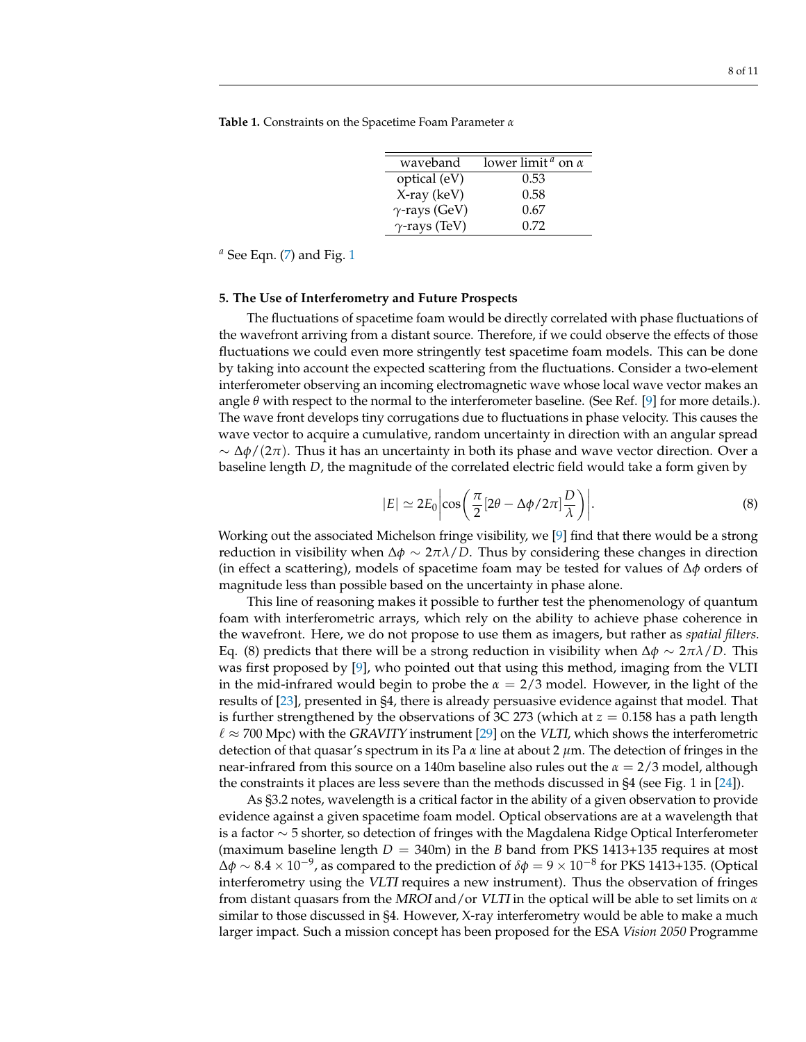**Table 1.** Constraints on the Spacetime Foam Parameter *α*

| waveband             | lower limit <sup><i>a</i></sup> on $\alpha$ |
|----------------------|---------------------------------------------|
| optical (eV)         | 0.53                                        |
| $X$ -ray (keV)       | 0.58                                        |
| $\gamma$ -rays (GeV) | 0.67                                        |
| $\gamma$ -rays (TeV) | 0.72                                        |

*<sup>a</sup>* See Eqn. [\(7\)](#page-4-0) and Fig. [1](#page-5-0)

#### **5. The Use of Interferometry and Future Prospects**

The fluctuations of spacetime foam would be directly correlated with phase fluctuations of the wavefront arriving from a distant source. Therefore, if we could observe the effects of those fluctuations we could even more stringently test spacetime foam models. This can be done by taking into account the expected scattering from the fluctuations. Consider a two-element interferometer observing an incoming electromagnetic wave whose local wave vector makes an angle *θ* with respect to the normal to the interferometer baseline. (See Ref. [\[9\]](#page-9-8) for more details.). The wave front develops tiny corrugations due to fluctuations in phase velocity. This causes the wave vector to acquire a cumulative, random uncertainty in direction with an angular spread ∼ ∆*φ*/(2*π*). Thus it has an uncertainty in both its phase and wave vector direction. Over a baseline length *D*, the magnitude of the correlated electric field would take a form given by

$$
|E| \simeq 2E_0 \left| \cos \left( \frac{\pi}{2} [2\theta - \Delta \phi / 2\pi] \frac{D}{\lambda} \right) \right|.
$$
 (8)

Working out the associated Michelson fringe visibility, we [\[9\]](#page-9-8) find that there would be a strong reduction in visibility when ∆*φ* ∼ 2*πλ*/*D*. Thus by considering these changes in direction (in effect a scattering), models of spacetime foam may be tested for values of ∆*φ* orders of magnitude less than possible based on the uncertainty in phase alone.

This line of reasoning makes it possible to further test the phenomenology of quantum foam with interferometric arrays, which rely on the ability to achieve phase coherence in the wavefront. Here, we do not propose to use them as imagers, but rather as *spatial filters.* Eq. (8) predicts that there will be a strong reduction in visibility when ∆*φ* ∼ 2*πλ*/*D*. This was first proposed by [\[9\]](#page-9-8), who pointed out that using this method, imaging from the VLTI in the mid-infrared would begin to probe the *α* = 2/3 model. However, in the light of the results of [\[23\]](#page-9-22), presented in §4, there is already persuasive evidence against that model. That is further strengthened by the observations of 3C 273 (which at  $z = 0.158$  has a path length  $\ell \approx 700$  Mpc) with the GRAVITY instrument [\[29\]](#page-10-0) on the VLTI, which shows the interferometric detection of that quasar's spectrum in its Pa *α* line at about 2 *µ*m. The detection of fringes in the near-infrared from this source on a 140m baseline also rules out the *α* = 2/3 model, although the constraints it places are less severe than the methods discussed in §4 (see Fig. 1 in [\[24\]](#page-9-23)).

As §3.2 notes, wavelength is a critical factor in the ability of a given observation to provide evidence against a given spacetime foam model. Optical observations are at a wavelength that is a factor ∼ 5 shorter, so detection of fringes with the Magdalena Ridge Optical Interferometer (maximum baseline length  $D = 340$ m) in the *B* band from PKS 1413+135 requires at most ∆*φ* ∼ 8.4 × 10−<sup>9</sup> , as compared to the prediction of *δφ* = 9 × 10−<sup>8</sup> for PKS 1413+135. (Optical interferometry using the VLTI requires a new instrument). Thus the observation of fringes from distant quasars from the MROI and/or VLTI in the optical will be able to set limits on *α* similar to those discussed in §4. However, X-ray interferometry would be able to make a much larger impact. Such a mission concept has been proposed for the ESA *Vision 2050* Programme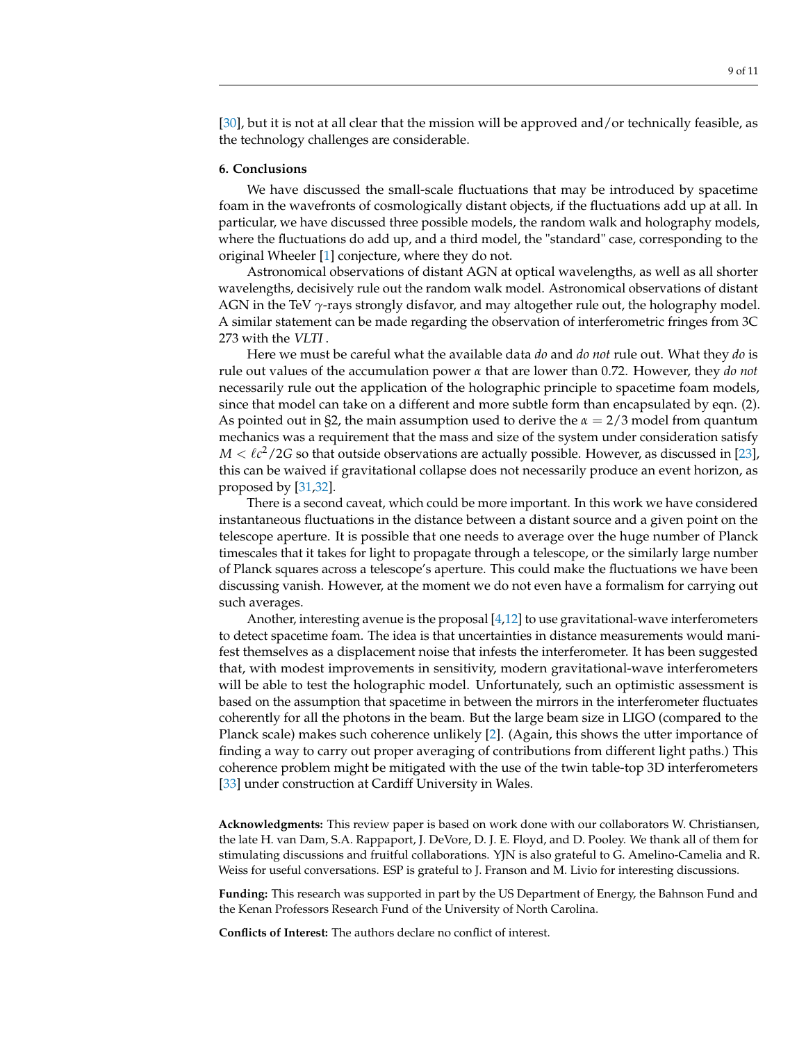[\[30\]](#page-10-1), but it is not at all clear that the mission will be approved and/or technically feasible, as the technology challenges are considerable.

#### **6. Conclusions**

We have discussed the small-scale fluctuations that may be introduced by spacetime foam in the wavefronts of cosmologically distant objects, if the fluctuations add up at all. In particular, we have discussed three possible models, the random walk and holography models, where the fluctuations do add up, and a third model, the "standard" case, corresponding to the original Wheeler [\[1\]](#page-9-0) conjecture, where they do not.

Astronomical observations of distant AGN at optical wavelengths, as well as all shorter wavelengths, decisively rule out the random walk model. Astronomical observations of distant AGN in the TeV *γ*-rays strongly disfavor, and may altogether rule out, the holography model. A similar statement can be made regarding the observation of interferometric fringes from 3C 273 with the VLTI .

Here we must be careful what the available data *do* and *do not* rule out. What they *do* is rule out values of the accumulation power *α* that are lower than 0.72. However, they *do not* necessarily rule out the application of the holographic principle to spacetime foam models, since that model can take on a different and more subtle form than encapsulated by eqn. (2). As pointed out in §2, the main assumption used to derive the  $\alpha = 2/3$  model from quantum mechanics was a requirement that the mass and size of the system under consideration satisfy  $M < \ell c^2/2G$  so that outside observations are actually possible. However, as discussed in [\[23\]](#page-9-22), this can be waived if gravitational collapse does not necessarily produce an event horizon, as proposed by [\[31,](#page-10-2)[32\]](#page-10-3).

There is a second caveat, which could be more important. In this work we have considered instantaneous fluctuations in the distance between a distant source and a given point on the telescope aperture. It is possible that one needs to average over the huge number of Planck timescales that it takes for light to propagate through a telescope, or the similarly large number of Planck squares across a telescope's aperture. This could make the fluctuations we have been discussing vanish. However, at the moment we do not even have a formalism for carrying out such averages.

Another, interesting avenue is the proposal [\[4,](#page-9-3)[12\]](#page-9-11) to use gravitational-wave interferometers to detect spacetime foam. The idea is that uncertainties in distance measurements would manifest themselves as a displacement noise that infests the interferometer. It has been suggested that, with modest improvements in sensitivity, modern gravitational-wave interferometers will be able to test the holographic model. Unfortunately, such an optimistic assessment is based on the assumption that spacetime in between the mirrors in the interferometer fluctuates coherently for all the photons in the beam. But the large beam size in LIGO (compared to the Planck scale) makes such coherence unlikely [\[2\]](#page-9-1). (Again, this shows the utter importance of finding a way to carry out proper averaging of contributions from different light paths.) This coherence problem might be mitigated with the use of the twin table-top 3D interferometers [\[33\]](#page-10-4) under construction at Cardiff University in Wales.

**Acknowledgments:** This review paper is based on work done with our collaborators W. Christiansen, the late H. van Dam, S.A. Rappaport, J. DeVore, D. J. E. Floyd, and D. Pooley. We thank all of them for stimulating discussions and fruitful collaborations. YJN is also grateful to G. Amelino-Camelia and R. Weiss for useful conversations. ESP is grateful to J. Franson and M. Livio for interesting discussions.

**Funding:** This research was supported in part by the US Department of Energy, the Bahnson Fund and the Kenan Professors Research Fund of the University of North Carolina.

**Conflicts of Interest:** The authors declare no conflict of interest.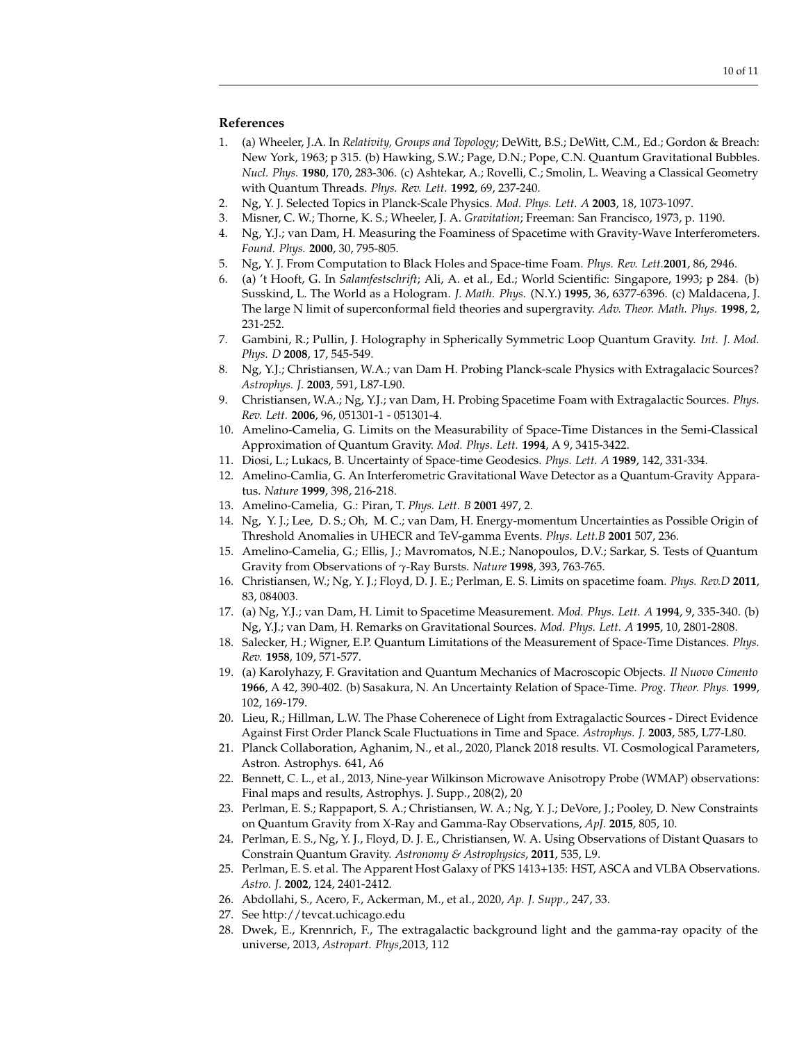- <span id="page-9-0"></span>1. (a) Wheeler, J.A. In *Relativity, Groups and Topology*; DeWitt, B.S.; DeWitt, C.M., Ed.; Gordon & Breach: New York, 1963; p 315. (b) Hawking, S.W.; Page, D.N.; Pope, C.N. Quantum Gravitational Bubbles. *Nucl. Phys.* **1980**, 170, 283-306. (c) Ashtekar, A.; Rovelli, C.; Smolin, L. Weaving a Classical Geometry with Quantum Threads. *Phys. Rev. Lett.* **1992**, 69, 237-240.
- <span id="page-9-1"></span>2. Ng, Y. J. Selected Topics in Planck-Scale Physics. *Mod. Phys. Lett. A* **2003**, 18, 1073-1097.
- <span id="page-9-2"></span>3. Misner, C. W.; Thorne, K. S.; Wheeler, J. A. *Gravitation*; Freeman: San Francisco, 1973, p. 1190.
- <span id="page-9-3"></span>4. Ng, Y.J.; van Dam, H. Measuring the Foaminess of Spacetime with Gravity-Wave Interferometers. *Found. Phys.* **2000**, 30, 795-805.
- <span id="page-9-4"></span>5. Ng, Y. J. From Computation to Black Holes and Space-time Foam. *Phys. Rev. Lett.***2001**, 86, 2946.
- <span id="page-9-5"></span>6. (a) 't Hooft, G. In *Salamfestschrift*; Ali, A. et al., Ed.; World Scientific: Singapore, 1993; p 284. (b) Susskind, L. The World as a Hologram. *J. Math. Phys.* (N.Y.) **1995**, 36, 6377-6396. (c) Maldacena, J. The large N limit of superconformal field theories and supergravity. *Adv. Theor. Math. Phys.* **1998**, 2, 231-252.
- <span id="page-9-6"></span>7. Gambini, R.; Pullin, J. Holography in Spherically Symmetric Loop Quantum Gravity. *Int. J. Mod. Phys. D* **2008**, 17, 545-549.
- <span id="page-9-7"></span>8. Ng, Y.J.; Christiansen, W.A.; van Dam H. Probing Planck-scale Physics with Extragalacic Sources? *Astrophys. J.* **2003**, 591, L87-L90.
- <span id="page-9-8"></span>9. Christiansen, W.A.; Ng, Y.J.; van Dam, H. Probing Spacetime Foam with Extragalactic Sources. *Phys. Rev. Lett.* **2006**, 96, 051301-1 - 051301-4.
- <span id="page-9-9"></span>10. Amelino-Camelia, G. Limits on the Measurability of Space-Time Distances in the Semi-Classical Approximation of Quantum Gravity. *Mod. Phys. Lett.* **1994**, A 9, 3415-3422.
- <span id="page-9-10"></span>11. Diosi, L.; Lukacs, B. Uncertainty of Space-time Geodesics. *Phys. Lett. A* **1989**, 142, 331-334.
- <span id="page-9-11"></span>12. Amelino-Camlia, G. An Interferometric Gravitational Wave Detector as a Quantum-Gravity Apparatus. *Nature* **1999**, 398, 216-218.
- <span id="page-9-12"></span>13. Amelino-Camelia, G.: Piran, T. *Phys. Lett. B* **2001** 497, 2.
- <span id="page-9-13"></span>14. Ng, Y. J.; Lee, D. S.; Oh, M. C.; van Dam, H. Energy-momentum Uncertainties as Possible Origin of Threshold Anomalies in UHECR and TeV-gamma Events. *Phys. Lett.B* **2001** 507, 236.
- <span id="page-9-14"></span>15. Amelino-Camelia, G.; Ellis, J.; Mavromatos, N.E.; Nanopoulos, D.V.; Sarkar, S. Tests of Quantum Gravity from Observations of *γ*-Ray Bursts. *Nature* **1998**, 393, 763-765.
- <span id="page-9-15"></span>16. Christiansen, W.; Ng, Y. J.; Floyd, D. J. E.; Perlman, E. S. Limits on spacetime foam. *Phys. Rev.D* **2011**, 83, 084003.
- <span id="page-9-16"></span>17. (a) Ng, Y.J.; van Dam, H. Limit to Spacetime Measurement. *Mod. Phys. Lett. A* **1994**, 9, 335-340. (b) Ng, Y.J.; van Dam, H. Remarks on Gravitational Sources. *Mod. Phys. Lett. A* **1995**, 10, 2801-2808.
- <span id="page-9-17"></span>18. Salecker, H.; Wigner, E.P. Quantum Limitations of the Measurement of Space-Time Distances. *Phys. Rev.* **1958**, 109, 571-577.
- <span id="page-9-18"></span>19. (a) Karolyhazy, F. Gravitation and Quantum Mechanics of Macroscopic Objects. *Il Nuovo Cimento* **1966**, A 42, 390-402. (b) Sasakura, N. An Uncertainty Relation of Space-Time. *Prog. Theor. Phys.* **1999**, 102, 169-179.
- <span id="page-9-19"></span>20. Lieu, R.; Hillman, L.W. The Phase Coherenece of Light from Extragalactic Sources - Direct Evidence Against First Order Planck Scale Fluctuations in Time and Space. *Astrophys. J.* **2003**, 585, L77-L80.
- <span id="page-9-20"></span>21. Planck Collaboration, Aghanim, N., et al., 2020, Planck 2018 results. VI. Cosmological Parameters, Astron. Astrophys. 641, A6
- <span id="page-9-21"></span>22. Bennett, C. L., et al., 2013, Nine-year Wilkinson Microwave Anisotropy Probe (WMAP) observations: Final maps and results, Astrophys. J. Supp., 208(2), 20
- <span id="page-9-22"></span>23. Perlman, E. S.; Rappaport, S. A.; Christiansen, W. A.; Ng, Y. J.; DeVore, J.; Pooley, D. New Constraints on Quantum Gravity from X-Ray and Gamma-Ray Observations, *ApJ.* **2015**, 805, 10.
- <span id="page-9-23"></span>24. Perlman, E. S., Ng, Y. J., Floyd, D. J. E., Christiansen, W. A. Using Observations of Distant Quasars to Constrain Quantum Gravity. *Astronomy & Astrophysics*, **2011**, 535, L9.
- <span id="page-9-24"></span>25. Perlman, E. S. et al. The Apparent Host Galaxy of PKS 1413+135: HST, ASCA and VLBA Observations. *Astro. J.* **2002**, 124, 2401-2412.
- <span id="page-9-25"></span>26. Abdollahi, S., Acero, F., Ackerman, M., et al., 2020, *Ap. J. Supp.,* 247, 33.
- <span id="page-9-26"></span>27. See http://tevcat.uchicago.edu
- <span id="page-9-27"></span>28. Dwek, E., Krennrich, F., The extragalactic background light and the gamma-ray opacity of the universe, 2013, *Astropart. Phys*,2013, 112